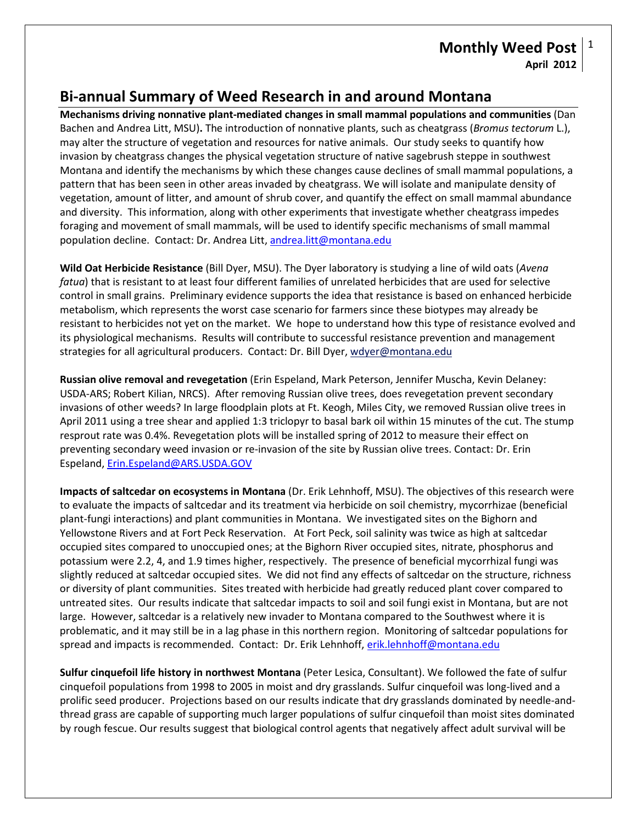## **Monthly Weed Post April 2012** 1

## **Bi-annual Summary of Weed Research in and around Montana**

**Mechanisms driving nonnative plant-mediated changes in small mammal populations and communities** (Dan Bachen and Andrea Litt, MSU)**.** The introduction of nonnative plants, such as cheatgrass (*Bromus tectorum* L.), may alter the structure of vegetation and resources for native animals. Our study seeks to quantify how invasion by cheatgrass changes the physical vegetation structure of native sagebrush steppe in southwest Montana and identify the mechanisms by which these changes cause declines of small mammal populations, a pattern that has been seen in other areas invaded by cheatgrass. We will isolate and manipulate density of vegetation, amount of litter, and amount of shrub cover, and quantify the effect on small mammal abundance and diversity. This information, along with other experiments that investigate whether cheatgrass impedes foraging and movement of small mammals, will be used to identify specific mechanisms of small mammal population decline. Contact: Dr. Andrea Litt, [andrea.litt@montana.edu](mailto:andrea.litt@montana.edu)

**Wild Oat Herbicide Resistance** (Bill Dyer, MSU). The Dyer laboratory is studying a line of wild oats (*Avena fatua*) that is resistant to at least four different families of unrelated herbicides that are used for selective control in small grains. Preliminary evidence supports the idea that resistance is based on enhanced herbicide metabolism, which represents the worst case scenario for farmers since these biotypes may already be resistant to herbicides not yet on the market. We hope to understand how this type of resistance evolved and its physiological mechanisms. Results will contribute to successful resistance prevention and management strategies for all agricultural producers. Contact: Dr. Bill Dyer, [wdyer@montana.edu](mailto:wdyer@montana.edu)

**Russian olive removal and revegetation** (Erin Espeland, Mark Peterson, Jennifer Muscha, Kevin Delaney: USDA-ARS; Robert Kilian, NRCS). After removing Russian olive trees, does revegetation prevent secondary invasions of other weeds? In large floodplain plots at Ft. Keogh, Miles City, we removed Russian olive trees in April 2011 using a tree shear and applied 1:3 triclopyr to basal bark oil within 15 minutes of the cut. The stump resprout rate was 0.4%. Revegetation plots will be installed spring of 2012 to measure their effect on preventing secondary weed invasion or re-invasion of the site by Russian olive trees. Contact: Dr. Erin Espeland, [Erin.Espeland@ARS.USDA.GOV](mailto:Erin.Espeland@ARS.USDA.GOV)

**Impacts of saltcedar on ecosystems in Montana** (Dr. Erik Lehnhoff, MSU). The objectives of this research were to evaluate the impacts of saltcedar and its treatment via herbicide on soil chemistry, mycorrhizae (beneficial plant-fungi interactions) and plant communities in Montana. We investigated sites on the Bighorn and Yellowstone Rivers and at Fort Peck Reservation. At Fort Peck, soil salinity was twice as high at saltcedar occupied sites compared to unoccupied ones; at the Bighorn River occupied sites, nitrate, phosphorus and potassium were 2.2, 4, and 1.9 times higher, respectively. The presence of beneficial mycorrhizal fungi was slightly reduced at saltcedar occupied sites. We did not find any effects of saltcedar on the structure, richness or diversity of plant communities. Sites treated with herbicide had greatly reduced plant cover compared to untreated sites. Our results indicate that saltcedar impacts to soil and soil fungi exist in Montana, but are not large. However, saltcedar is a relatively new invader to Montana compared to the Southwest where it is problematic, and it may still be in a lag phase in this northern region. Monitoring of saltcedar populations for spread and impacts is recommended. Contact: Dr. Erik Lehnhoff, erik.lehnhoff@montana.edu

**Sulfur cinquefoil life history in northwest Montana** (Peter Lesica, Consultant). We followed the fate of sulfur cinquefoil populations from 1998 to 2005 in moist and dry grasslands. Sulfur cinquefoil was long-lived and a prolific seed producer. Projections based on our results indicate that dry grasslands dominated by needle-andthread grass are capable of supporting much larger populations of sulfur cinquefoil than moist sites dominated by rough fescue. Our results suggest that biological control agents that negatively affect adult survival will be